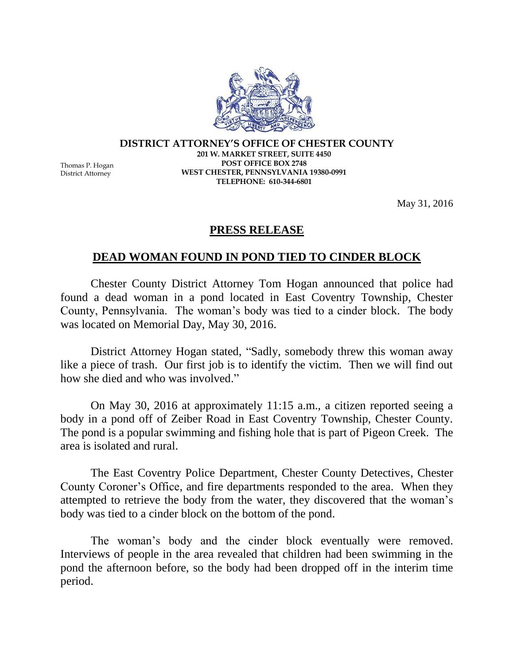

## **DISTRICT ATTORNEY'S OFFICE OF CHESTER COUNTY 201 W. MARKET STREET, SUITE 4450 POST OFFICE BOX 2748 WEST CHESTER, PENNSYLVANIA 19380-0991 TELEPHONE: 610-344-6801**

Thomas P. Hogan District Attorney

May 31, 2016

## **PRESS RELEASE**

## **DEAD WOMAN FOUND IN POND TIED TO CINDER BLOCK**

Chester County District Attorney Tom Hogan announced that police had found a dead woman in a pond located in East Coventry Township, Chester County, Pennsylvania. The woman's body was tied to a cinder block. The body was located on Memorial Day, May 30, 2016.

District Attorney Hogan stated, "Sadly, somebody threw this woman away like a piece of trash. Our first job is to identify the victim. Then we will find out how she died and who was involved."

On May 30, 2016 at approximately 11:15 a.m., a citizen reported seeing a body in a pond off of Zeiber Road in East Coventry Township, Chester County. The pond is a popular swimming and fishing hole that is part of Pigeon Creek. The area is isolated and rural.

The East Coventry Police Department, Chester County Detectives, Chester County Coroner's Office, and fire departments responded to the area. When they attempted to retrieve the body from the water, they discovered that the woman's body was tied to a cinder block on the bottom of the pond.

The woman's body and the cinder block eventually were removed. Interviews of people in the area revealed that children had been swimming in the pond the afternoon before, so the body had been dropped off in the interim time period.